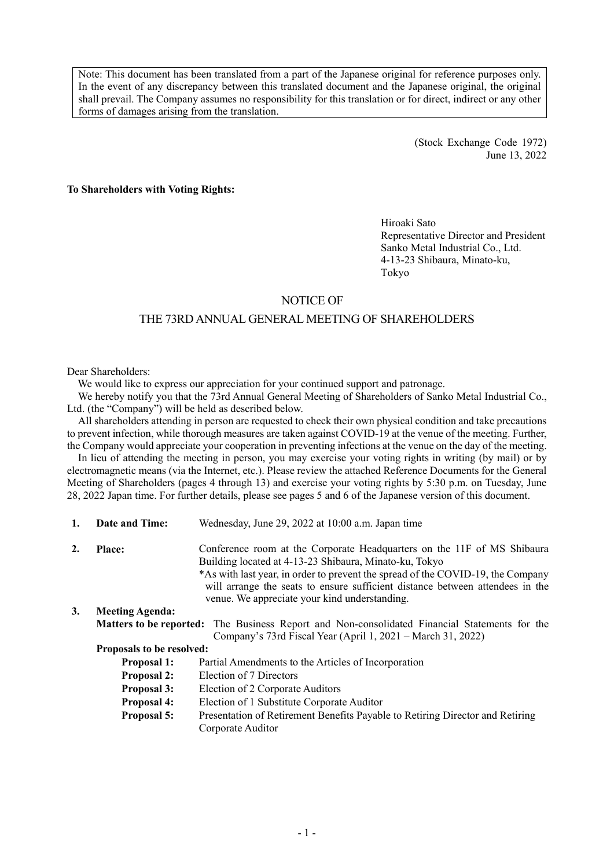Note: This document has been translated from a part of the Japanese original for reference purposes only. In the event of any discrepancy between this translated document and the Japanese original, the original shall prevail. The Company assumes no responsibility for this translation or for direct, indirect or any other forms of damages arising from the translation.

> (Stock Exchange Code 1972) June 13, 2022

**To Shareholders with Voting Rights:**

Hiroaki Sato Representative Director and President Sanko Metal Industrial Co., Ltd. 4-13-23 Shibaura, Minato-ku, Tokyo

## NOTICE OF

## THE 73RD ANNUAL GENERAL MEETING OF SHAREHOLDERS

Dear Shareholders:

We would like to express our appreciation for your continued support and patronage.

We hereby notify you that the 73rd Annual General Meeting of Shareholders of Sanko Metal Industrial Co., Ltd. (the "Company") will be held as described below.

All shareholders attending in person are requested to check their own physical condition and take precautions to prevent infection, while thorough measures are taken against COVID-19 at the venue of the meeting. Further, the Company would appreciate your cooperation in preventing infections at the venue on the day of the meeting.

In lieu of attending the meeting in person, you may exercise your voting rights in writing (by mail) or by electromagnetic means (via the Internet, etc.). Please review the attached Reference Documents for the General Meeting of Shareholders (pages 4 through 13) and exercise your voting rights by 5:30 p.m. on Tuesday, June 28, 2022 Japan time. For further details, please see pages 5 and 6 of the Japanese version of this document.

| 1. | Date and Time:            | Wednesday, June 29, 2022 at 10:00 a.m. Japan time                                                                                                                                                                 |
|----|---------------------------|-------------------------------------------------------------------------------------------------------------------------------------------------------------------------------------------------------------------|
| 2. | <b>Place:</b>             | Conference room at the Corporate Headquarters on the 11F of MS Shibaura<br>Building located at 4-13-23 Shibaura, Minato-ku, Tokyo                                                                                 |
|    |                           | *As with last year, in order to prevent the spread of the COVID-19, the Company<br>will arrange the seats to ensure sufficient distance between attendees in the<br>venue. We appreciate your kind understanding. |
| 3. | <b>Meeting Agenda:</b>    |                                                                                                                                                                                                                   |
|    |                           | <b>Matters to be reported:</b> The Business Report and Non-consolidated Financial Statements for the<br>Company's 73rd Fiscal Year (April 1, 2021 – March 31, 2022)                                               |
|    | Proposals to be resolved: |                                                                                                                                                                                                                   |
|    | <b>Proposal 1:</b>        | Partial Amendments to the Articles of Incorporation                                                                                                                                                               |
|    | <b>Proposal 2:</b>        | Election of 7 Directors                                                                                                                                                                                           |
|    | <b>Proposal 3:</b>        | Election of 2 Corporate Auditors                                                                                                                                                                                  |
|    | <b>Proposal 4:</b>        | Election of 1 Substitute Corporate Auditor                                                                                                                                                                        |
|    | <b>Proposal 5:</b>        | Presentation of Retirement Benefits Payable to Retiring Director and Retiring<br>Corporate Auditor                                                                                                                |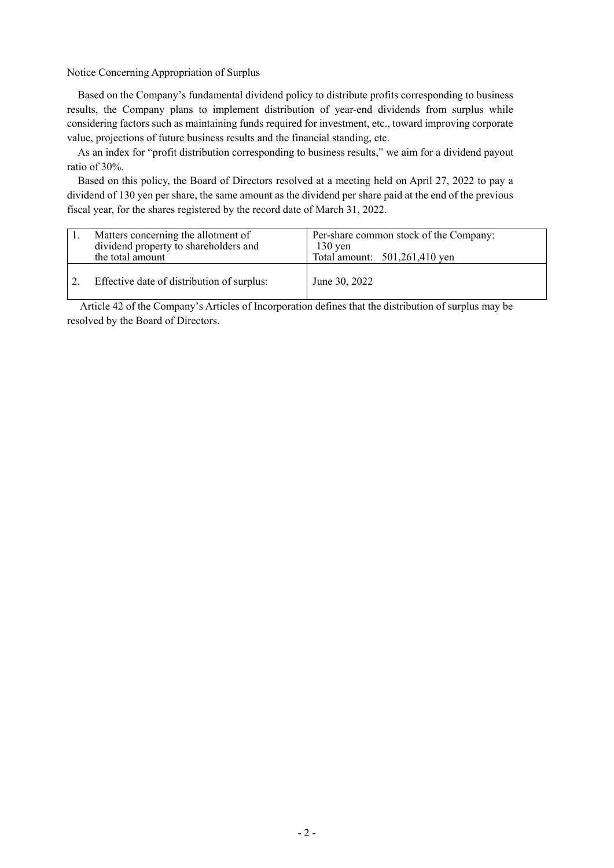Notice Concerning Appropriation of Surplus

Based on the Company's fundamental dividend policy to distribute profits corresponding to business results, the Company plans to implement distribution of year-end dividends from surplus while considering factors such as maintaining funds required for investment, etc., toward improving corporate value, projections of future business results and the financial standing, etc.

As an index for "profit distribution corresponding to business results," we aim for a dividend payout ratio of 30%.

Based on this policy, the Board of Directors resolved at a meeting held on April 27, 2022 to pay a dividend of 130 yen per share, the same amount as the dividend per share paid at the end of the previous fiscal year, for the shares registered by the record date of March 31, 2022.

| Matters concerning the allotment of<br>dividend property to shareholders and<br>the total amount | Per-share common stock of the Company:<br>$130 \,\mathrm{ven}$<br>Total amount: 501,261,410 yen |
|--------------------------------------------------------------------------------------------------|-------------------------------------------------------------------------------------------------|
| Effective date of distribution of surplus:                                                       | June 30, 2022                                                                                   |

Article 42 of the Company's Articles of Incorporation defines that the distribution of surplus may be resolved by the Board of Directors.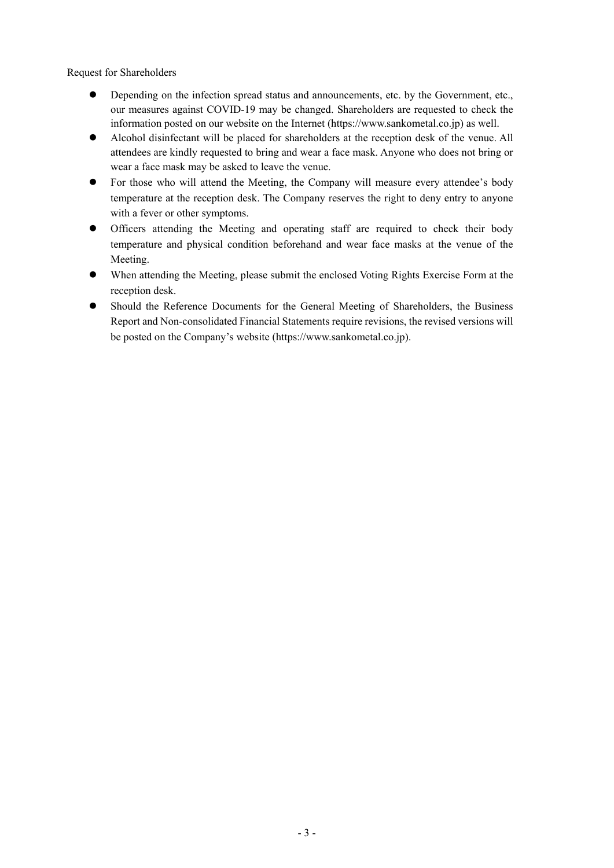Request for Shareholders

- Depending on the infection spread status and announcements, etc. by the Government, etc., our measures against COVID-19 may be changed. Shareholders are requested to check the information posted on our website on the Internet (https://www.sankometal.co.jp) as well.
- Alcohol disinfectant will be placed for shareholders at the reception desk of the venue. All attendees are kindly requested to bring and wear a face mask. Anyone who does not bring or wear a face mask may be asked to leave the venue.
- For those who will attend the Meeting, the Company will measure every attendee's body temperature at the reception desk. The Company reserves the right to deny entry to anyone with a fever or other symptoms.
- Officers attending the Meeting and operating staff are required to check their body temperature and physical condition beforehand and wear face masks at the venue of the Meeting.
- When attending the Meeting, please submit the enclosed Voting Rights Exercise Form at the reception desk.
- Should the Reference Documents for the General Meeting of Shareholders, the Business Report and Non-consolidated Financial Statements require revisions, the revised versions will be posted on the Company's website (https://www.sankometal.co.jp).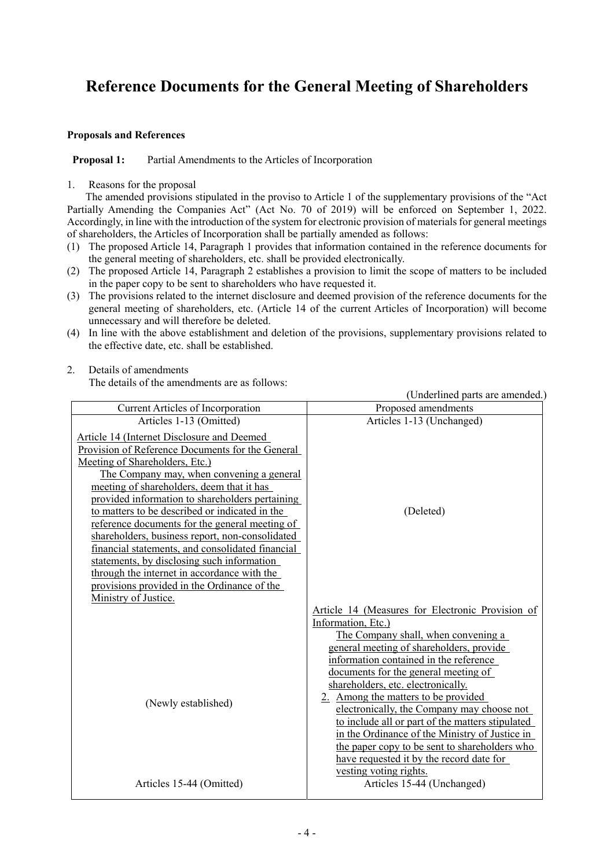# **Reference Documents for the General Meeting of Shareholders**

## **Proposals and References**

## **Proposal 1:** Partial Amendments to the Articles of Incorporation

### 1. Reasons for the proposal

The amended provisions stipulated in the proviso to Article 1 of the supplementary provisions of the "Act Partially Amending the Companies Act" (Act No. 70 of 2019) will be enforced on September 1, 2022. Accordingly, in line with the introduction of the system for electronic provision of materials for general meetings of shareholders, the Articles of Incorporation shall be partially amended as follows:

- (1) The proposed Article 14, Paragraph 1 provides that information contained in the reference documents for the general meeting of shareholders, etc. shall be provided electronically.
- (2) The proposed Article 14, Paragraph 2 establishes a provision to limit the scope of matters to be included in the paper copy to be sent to shareholders who have requested it.
- (3) The provisions related to the internet disclosure and deemed provision of the reference documents for the general meeting of shareholders, etc. (Article 14 of the current Articles of Incorporation) will become unnecessary and will therefore be deleted.
- (4) In line with the above establishment and deletion of the provisions, supplementary provisions related to the effective date, etc. shall be established.

## 2. Details of amendments

The details of the amendments are as follows:

(Underlined parts are amended.) Current Articles of Incorporation Proposed amendments Articles 1-13 (Omitted) Articles 1-13 (Unchanged) Article 14 (Internet Disclosure and Deemed Provision of Reference Documents for the General Meeting of Shareholders, Etc.) (Deleted) The Company may, when convening a general meeting of shareholders, deem that it has provided information to shareholders pertaining to matters to be described or indicated in the reference documents for the general meeting of shareholders, business report, non-consolidated financial statements, and consolidated financial statements, by disclosing such information through the internet in accordance with the provisions provided in the Ordinance of the Ministry of Justice. Article 14 (Measures for Electronic Provision of Information, Etc.) (Newly established) The Company shall, when convening a general meeting of shareholders, provide information contained in the reference documents for the general meeting of shareholders, etc. electronically. 2. Among the matters to be provided electronically, the Company may choose not to include all or part of the matters stipulated in the Ordinance of the Ministry of Justice in the paper copy to be sent to shareholders who have requested it by the record date for vesting voting rights. Articles 15-44 (Omitted) Articles 15-44 (Unchanged)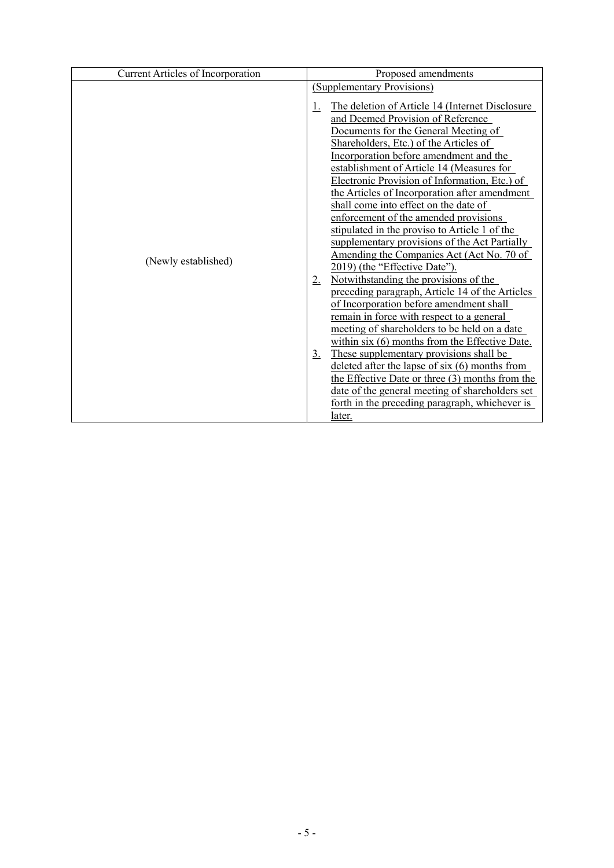| Current Articles of Incorporation | Proposed amendments                                                                                                                                                                                                                                                                                                                                                                                                                                                                                                                                                                                                                                                                                                                                                                                                                                                                                                                                                                                                                                                                                                                                                                                                               |  |  |
|-----------------------------------|-----------------------------------------------------------------------------------------------------------------------------------------------------------------------------------------------------------------------------------------------------------------------------------------------------------------------------------------------------------------------------------------------------------------------------------------------------------------------------------------------------------------------------------------------------------------------------------------------------------------------------------------------------------------------------------------------------------------------------------------------------------------------------------------------------------------------------------------------------------------------------------------------------------------------------------------------------------------------------------------------------------------------------------------------------------------------------------------------------------------------------------------------------------------------------------------------------------------------------------|--|--|
|                                   | (Supplementary Provisions)                                                                                                                                                                                                                                                                                                                                                                                                                                                                                                                                                                                                                                                                                                                                                                                                                                                                                                                                                                                                                                                                                                                                                                                                        |  |  |
| (Newly established)               | The deletion of Article 14 (Internet Disclosure<br>1.<br>and Deemed Provision of Reference<br>Documents for the General Meeting of<br>Shareholders, Etc.) of the Articles of<br>Incorporation before amendment and the<br>establishment of Article 14 (Measures for<br>Electronic Provision of Information, Etc.) of<br>the Articles of Incorporation after amendment<br>shall come into effect on the date of<br>enforcement of the amended provisions<br>stipulated in the proviso to Article 1 of the<br>supplementary provisions of the Act Partially<br>Amending the Companies Act (Act No. 70 of<br>2019) (the "Effective Date").<br>Notwithstanding the provisions of the<br>$2_{\cdot}$<br>preceding paragraph, Article 14 of the Articles<br>of Incorporation before amendment shall<br>remain in force with respect to a general<br>meeting of shareholders to be held on a date<br>within six (6) months from the Effective Date.<br>These supplementary provisions shall be<br>$\underline{3}$ .<br>deleted after the lapse of $six(6)$ months from<br>the Effective Date or three (3) months from the<br>date of the general meeting of shareholders set<br>forth in the preceding paragraph, whichever is<br>later. |  |  |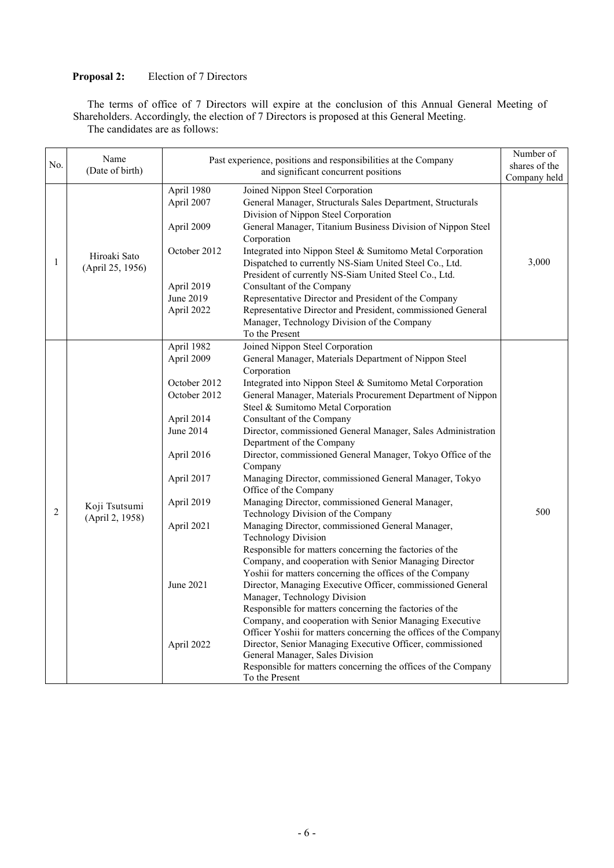## **Proposal 2:** Election of 7 Directors

The terms of office of 7 Directors will expire at the conclusion of this Annual General Meeting of Shareholders. Accordingly, the election of 7 Directors is proposed at this General Meeting. The candidates are as follows:

| No. | Name<br>(Date of birth)          |                                                                                                                                                                        | Past experience, positions and responsibilities at the Company<br>and significant concurrent positions                                                                                                                                                                                                                                                                                                                                                                                                                                                                                                                                                                                                                                                                                                                                                                                                                                                                                                                                                                                                                                                                                                                                                                                                                                                                                                   | Number of<br>shares of the<br>Company held |
|-----|----------------------------------|------------------------------------------------------------------------------------------------------------------------------------------------------------------------|----------------------------------------------------------------------------------------------------------------------------------------------------------------------------------------------------------------------------------------------------------------------------------------------------------------------------------------------------------------------------------------------------------------------------------------------------------------------------------------------------------------------------------------------------------------------------------------------------------------------------------------------------------------------------------------------------------------------------------------------------------------------------------------------------------------------------------------------------------------------------------------------------------------------------------------------------------------------------------------------------------------------------------------------------------------------------------------------------------------------------------------------------------------------------------------------------------------------------------------------------------------------------------------------------------------------------------------------------------------------------------------------------------|--------------------------------------------|
| 1   | Hiroaki Sato<br>(April 25, 1956) | April 1980<br>April 2007<br>April 2009<br>October 2012<br>April 2019<br>June 2019<br>April 2022                                                                        | Joined Nippon Steel Corporation<br>General Manager, Structurals Sales Department, Structurals<br>Division of Nippon Steel Corporation<br>General Manager, Titanium Business Division of Nippon Steel<br>Corporation<br>Integrated into Nippon Steel & Sumitomo Metal Corporation<br>Dispatched to currently NS-Siam United Steel Co., Ltd.<br>President of currently NS-Siam United Steel Co., Ltd.<br>Consultant of the Company<br>Representative Director and President of the Company<br>Representative Director and President, commissioned General<br>Manager, Technology Division of the Company<br>To the Present                                                                                                                                                                                                                                                                                                                                                                                                                                                                                                                                                                                                                                                                                                                                                                                 | 3,000                                      |
| 2   | Koji Tsutsumi<br>(April 2, 1958) | April 1982<br>April 2009<br>October 2012<br>October 2012<br>April 2014<br>June 2014<br>April 2016<br>April 2017<br>April 2019<br>April 2021<br>June 2021<br>April 2022 | Joined Nippon Steel Corporation<br>General Manager, Materials Department of Nippon Steel<br>Corporation<br>Integrated into Nippon Steel & Sumitomo Metal Corporation<br>General Manager, Materials Procurement Department of Nippon<br>Steel & Sumitomo Metal Corporation<br>Consultant of the Company<br>Director, commissioned General Manager, Sales Administration<br>Department of the Company<br>Director, commissioned General Manager, Tokyo Office of the<br>Company<br>Managing Director, commissioned General Manager, Tokyo<br>Office of the Company<br>Managing Director, commissioned General Manager,<br>Technology Division of the Company<br>Managing Director, commissioned General Manager,<br><b>Technology Division</b><br>Responsible for matters concerning the factories of the<br>Company, and cooperation with Senior Managing Director<br>Yoshii for matters concerning the offices of the Company<br>Director, Managing Executive Officer, commissioned General<br>Manager, Technology Division<br>Responsible for matters concerning the factories of the<br>Company, and cooperation with Senior Managing Executive<br>Officer Yoshii for matters concerning the offices of the Company<br>Director, Senior Managing Executive Officer, commissioned<br>General Manager, Sales Division<br>Responsible for matters concerning the offices of the Company<br>To the Present | 500                                        |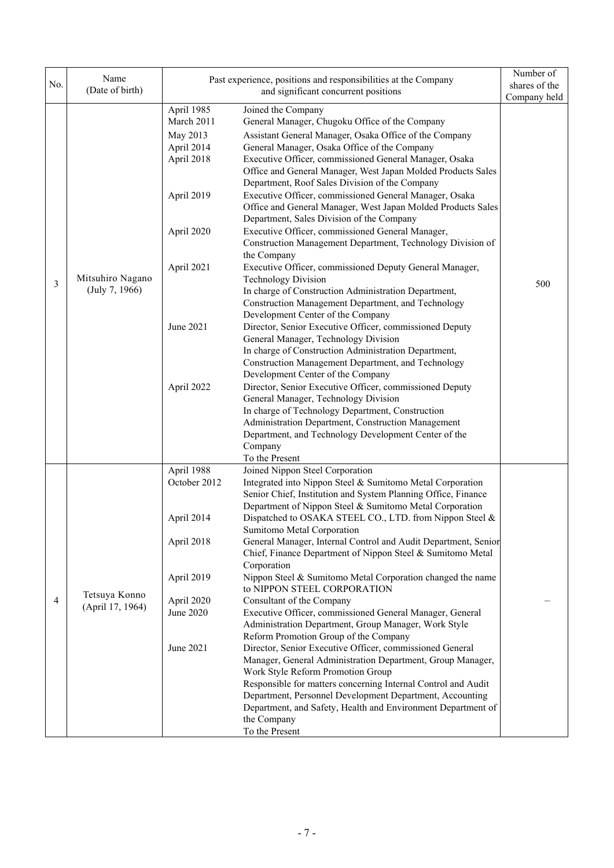| No. | Name<br>(Date of birth)            |                                                                                                                                       | Past experience, positions and responsibilities at the Company<br>and significant concurrent positions                                                                                                                                                                                                                                                                                                                                                                                                                                                                                                                                                                                                                                                                                                                                                                                                                                                                                                                                                                                                                                                                                                                                                                                                                                                                                                                                               | Number of<br>shares of the |
|-----|------------------------------------|---------------------------------------------------------------------------------------------------------------------------------------|------------------------------------------------------------------------------------------------------------------------------------------------------------------------------------------------------------------------------------------------------------------------------------------------------------------------------------------------------------------------------------------------------------------------------------------------------------------------------------------------------------------------------------------------------------------------------------------------------------------------------------------------------------------------------------------------------------------------------------------------------------------------------------------------------------------------------------------------------------------------------------------------------------------------------------------------------------------------------------------------------------------------------------------------------------------------------------------------------------------------------------------------------------------------------------------------------------------------------------------------------------------------------------------------------------------------------------------------------------------------------------------------------------------------------------------------------|----------------------------|
| 3   | Mitsuhiro Nagano<br>(July 7, 1966) | April 1985<br>March 2011<br>May 2013<br>April 2014<br>April 2018<br>April 2019<br>April 2020<br>April 2021<br>June 2021<br>April 2022 | Joined the Company<br>General Manager, Chugoku Office of the Company<br>Assistant General Manager, Osaka Office of the Company<br>General Manager, Osaka Office of the Company<br>Executive Officer, commissioned General Manager, Osaka<br>Office and General Manager, West Japan Molded Products Sales<br>Department, Roof Sales Division of the Company<br>Executive Officer, commissioned General Manager, Osaka<br>Office and General Manager, West Japan Molded Products Sales<br>Department, Sales Division of the Company<br>Executive Officer, commissioned General Manager,<br>Construction Management Department, Technology Division of<br>the Company<br>Executive Officer, commissioned Deputy General Manager,<br><b>Technology Division</b><br>In charge of Construction Administration Department,<br>Construction Management Department, and Technology<br>Development Center of the Company<br>Director, Senior Executive Officer, commissioned Deputy<br>General Manager, Technology Division<br>In charge of Construction Administration Department,<br>Construction Management Department, and Technology<br>Development Center of the Company<br>Director, Senior Executive Officer, commissioned Deputy<br>General Manager, Technology Division<br>In charge of Technology Department, Construction<br>Administration Department, Construction Management<br>Department, and Technology Development Center of the<br>Company | Company held<br>500        |
| 4   | Tetsuya Konno<br>(April 17, 1964)  | April 1988<br>October 2012<br>April 2014<br>April 2018<br>April 2019<br>April 2020<br>June 2020<br>June 2021                          | To the Present<br>Joined Nippon Steel Corporation<br>Integrated into Nippon Steel & Sumitomo Metal Corporation<br>Senior Chief, Institution and System Planning Office, Finance<br>Department of Nippon Steel & Sumitomo Metal Corporation<br>Dispatched to OSAKA STEEL CO., LTD. from Nippon Steel &<br>Sumitomo Metal Corporation<br>General Manager, Internal Control and Audit Department, Senior<br>Chief, Finance Department of Nippon Steel & Sumitomo Metal<br>Corporation<br>Nippon Steel & Sumitomo Metal Corporation changed the name<br>to NIPPON STEEL CORPORATION<br>Consultant of the Company<br>Executive Officer, commissioned General Manager, General<br>Administration Department, Group Manager, Work Style<br>Reform Promotion Group of the Company<br>Director, Senior Executive Officer, commissioned General<br>Manager, General Administration Department, Group Manager,<br>Work Style Reform Promotion Group<br>Responsible for matters concerning Internal Control and Audit<br>Department, Personnel Development Department, Accounting<br>Department, and Safety, Health and Environment Department of<br>the Company<br>To the Present                                                                                                                                                                                                                                                                               |                            |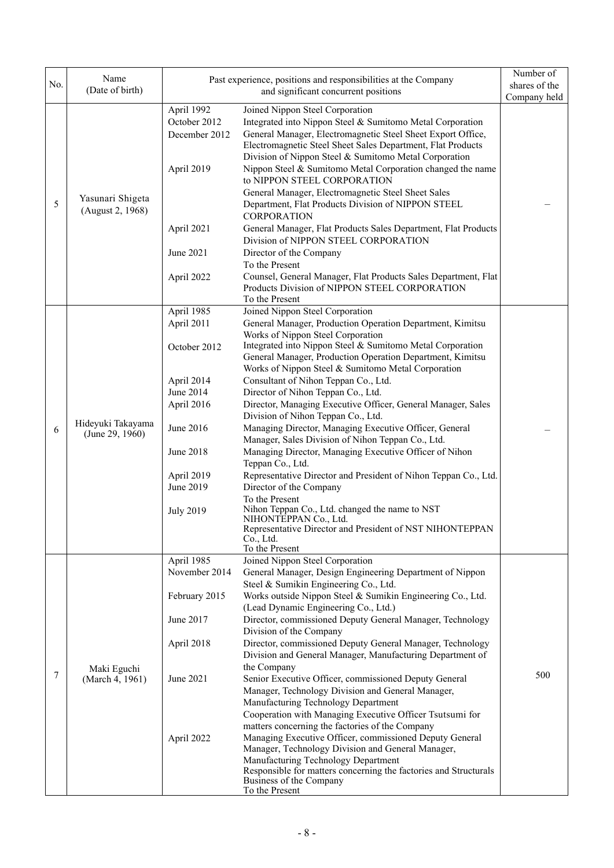| No. | Name<br>(Date of birth)              |                                                                                                                                                            | Past experience, positions and responsibilities at the Company<br>and significant concurrent positions                                                                                                                                                                                                                                                                                                                                                                                                                                                                                                                                                                                                                                                                                                                                                                                                                                                                                                                                    | Number of<br>shares of the<br>Company held |
|-----|--------------------------------------|------------------------------------------------------------------------------------------------------------------------------------------------------------|-------------------------------------------------------------------------------------------------------------------------------------------------------------------------------------------------------------------------------------------------------------------------------------------------------------------------------------------------------------------------------------------------------------------------------------------------------------------------------------------------------------------------------------------------------------------------------------------------------------------------------------------------------------------------------------------------------------------------------------------------------------------------------------------------------------------------------------------------------------------------------------------------------------------------------------------------------------------------------------------------------------------------------------------|--------------------------------------------|
| 5   | Yasunari Shigeta<br>(August 2, 1968) | April 1992<br>October 2012<br>December 2012<br>April 2019<br>April 2021<br>June 2021<br>April 2022                                                         | Joined Nippon Steel Corporation<br>Integrated into Nippon Steel & Sumitomo Metal Corporation<br>General Manager, Electromagnetic Steel Sheet Export Office,<br>Electromagnetic Steel Sheet Sales Department, Flat Products<br>Division of Nippon Steel & Sumitomo Metal Corporation<br>Nippon Steel & Sumitomo Metal Corporation changed the name<br>to NIPPON STEEL CORPORATION<br>General Manager, Electromagnetic Steel Sheet Sales<br>Department, Flat Products Division of NIPPON STEEL<br><b>CORPORATION</b><br>General Manager, Flat Products Sales Department, Flat Products<br>Division of NIPPON STEEL CORPORATION<br>Director of the Company<br>To the Present<br>Counsel, General Manager, Flat Products Sales Department, Flat<br>Products Division of NIPPON STEEL CORPORATION                                                                                                                                                                                                                                              |                                            |
| 6   | Hideyuki Takayama<br>(June 29, 1960) | April 1985<br>April 2011<br>October 2012<br>April 2014<br>June 2014<br>April 2016<br>June 2016<br>June 2018<br>April 2019<br>June 2019<br><b>July 2019</b> | To the Present<br>Joined Nippon Steel Corporation<br>General Manager, Production Operation Department, Kimitsu<br>Works of Nippon Steel Corporation<br>Integrated into Nippon Steel & Sumitomo Metal Corporation<br>General Manager, Production Operation Department, Kimitsu<br>Works of Nippon Steel & Sumitomo Metal Corporation<br>Consultant of Nihon Teppan Co., Ltd.<br>Director of Nihon Teppan Co., Ltd.<br>Director, Managing Executive Officer, General Manager, Sales<br>Division of Nihon Teppan Co., Ltd.<br>Managing Director, Managing Executive Officer, General<br>Manager, Sales Division of Nihon Teppan Co., Ltd.<br>Managing Director, Managing Executive Officer of Nihon<br>Teppan Co., Ltd.<br>Representative Director and President of Nihon Teppan Co., Ltd.<br>Director of the Company<br>To the Present<br>Nihon Teppan Co., Ltd. changed the name to NST<br>NIHONTEPPAN Co., Ltd.<br>Representative Director and President of NST NIHONTEPPAN<br>Co., Ltd.                                                  |                                            |
| 7   | Maki Eguchi<br>(March 4, 1961)       | April 1985<br>November 2014<br>February 2015<br>June 2017<br>April 2018<br>June 2021<br>April 2022                                                         | To the Present<br>Joined Nippon Steel Corporation<br>General Manager, Design Engineering Department of Nippon<br>Steel & Sumikin Engineering Co., Ltd.<br>Works outside Nippon Steel & Sumikin Engineering Co., Ltd.<br>(Lead Dynamic Engineering Co., Ltd.)<br>Director, commissioned Deputy General Manager, Technology<br>Division of the Company<br>Director, commissioned Deputy General Manager, Technology<br>Division and General Manager, Manufacturing Department of<br>the Company<br>Senior Executive Officer, commissioned Deputy General<br>Manager, Technology Division and General Manager,<br>Manufacturing Technology Department<br>Cooperation with Managing Executive Officer Tsutsumi for<br>matters concerning the factories of the Company<br>Managing Executive Officer, commissioned Deputy General<br>Manager, Technology Division and General Manager,<br>Manufacturing Technology Department<br>Responsible for matters concerning the factories and Structurals<br>Business of the Company<br>To the Present | 500                                        |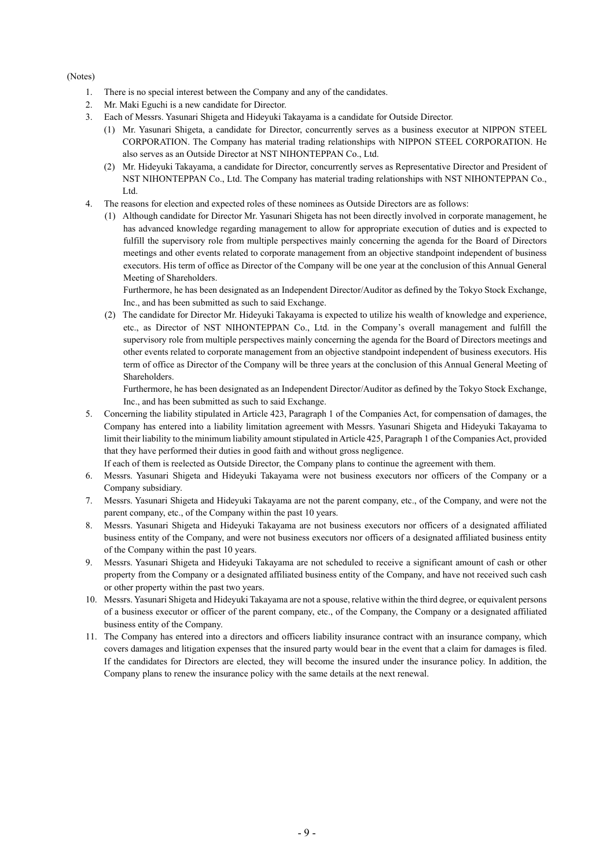#### (Notes)

- 1. There is no special interest between the Company and any of the candidates.
- 2. Mr. Maki Eguchi is a new candidate for Director.
- 3. Each of Messrs. Yasunari Shigeta and Hideyuki Takayama is a candidate for Outside Director.
	- (1) Mr. Yasunari Shigeta, a candidate for Director, concurrently serves as a business executor at NIPPON STEEL CORPORATION. The Company has material trading relationships with NIPPON STEEL CORPORATION. He also serves as an Outside Director at NST NIHONTEPPAN Co., Ltd.
	- (2) Mr. Hideyuki Takayama, a candidate for Director, concurrently serves as Representative Director and President of NST NIHONTEPPAN Co., Ltd. The Company has material trading relationships with NST NIHONTEPPAN Co., Ltd.
- 4. The reasons for election and expected roles of these nominees as Outside Directors are as follows:
	- (1) Although candidate for Director Mr. Yasunari Shigeta has not been directly involved in corporate management, he has advanced knowledge regarding management to allow for appropriate execution of duties and is expected to fulfill the supervisory role from multiple perspectives mainly concerning the agenda for the Board of Directors meetings and other events related to corporate management from an objective standpoint independent of business executors. His term of office as Director of the Company will be one year at the conclusion of this Annual General Meeting of Shareholders.

Furthermore, he has been designated as an Independent Director/Auditor as defined by the Tokyo Stock Exchange, Inc., and has been submitted as such to said Exchange.

(2) The candidate for Director Mr. Hideyuki Takayama is expected to utilize his wealth of knowledge and experience, etc., as Director of NST NIHONTEPPAN Co., Ltd. in the Company's overall management and fulfill the supervisory role from multiple perspectives mainly concerning the agenda for the Board of Directors meetings and other events related to corporate management from an objective standpoint independent of business executors. His term of office as Director of the Company will be three years at the conclusion of this Annual General Meeting of Shareholders.

Furthermore, he has been designated as an Independent Director/Auditor as defined by the Tokyo Stock Exchange, Inc., and has been submitted as such to said Exchange.

5. Concerning the liability stipulated in Article 423, Paragraph 1 of the Companies Act, for compensation of damages, the Company has entered into a liability limitation agreement with Messrs. Yasunari Shigeta and Hideyuki Takayama to limit their liability to the minimum liability amount stipulated in Article 425, Paragraph 1 of the Companies Act, provided that they have performed their duties in good faith and without gross negligence.

If each of them is reelected as Outside Director, the Company plans to continue the agreement with them.

- 6. Messrs. Yasunari Shigeta and Hideyuki Takayama were not business executors nor officers of the Company or a Company subsidiary.
- 7. Messrs. Yasunari Shigeta and Hideyuki Takayama are not the parent company, etc., of the Company, and were not the parent company, etc., of the Company within the past 10 years.
- 8. Messrs. Yasunari Shigeta and Hideyuki Takayama are not business executors nor officers of a designated affiliated business entity of the Company, and were not business executors nor officers of a designated affiliated business entity of the Company within the past 10 years.
- 9. Messrs. Yasunari Shigeta and Hideyuki Takayama are not scheduled to receive a significant amount of cash or other property from the Company or a designated affiliated business entity of the Company, and have not received such cash or other property within the past two years.
- 10. Messrs. Yasunari Shigeta and Hideyuki Takayama are not a spouse, relative within the third degree, or equivalent persons of a business executor or officer of the parent company, etc., of the Company, the Company or a designated affiliated business entity of the Company.
- 11. The Company has entered into a directors and officers liability insurance contract with an insurance company, which covers damages and litigation expenses that the insured party would bear in the event that a claim for damages is filed. If the candidates for Directors are elected, they will become the insured under the insurance policy. In addition, the Company plans to renew the insurance policy with the same details at the next renewal.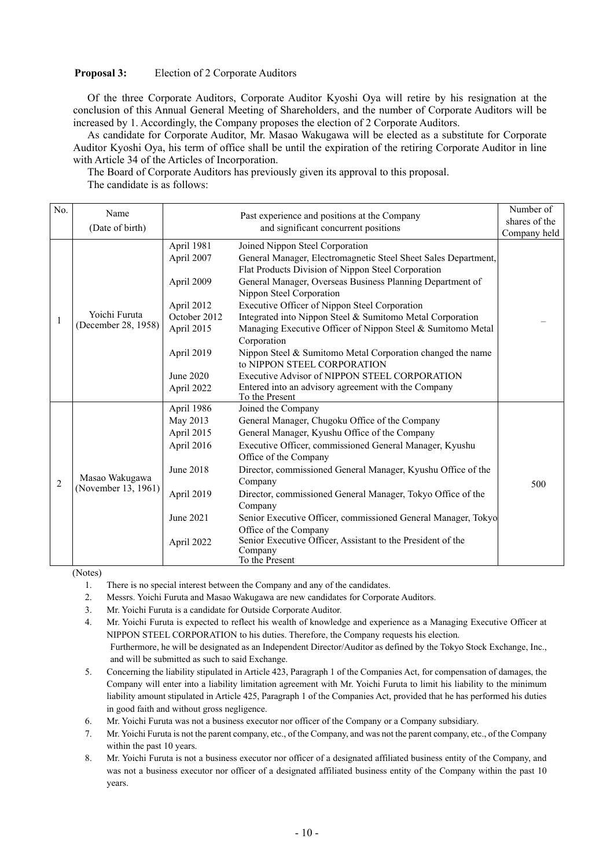### **Proposal 3:** Election of 2 Corporate Auditors

Of the three Corporate Auditors, Corporate Auditor Kyoshi Oya will retire by his resignation at the conclusion of this Annual General Meeting of Shareholders, and the number of Corporate Auditors will be increased by 1. Accordingly, the Company proposes the election of 2 Corporate Auditors.

As candidate for Corporate Auditor, Mr. Masao Wakugawa will be elected as a substitute for Corporate Auditor Kyoshi Oya, his term of office shall be until the expiration of the retiring Corporate Auditor in line with Article 34 of the Articles of Incorporation.

The Board of Corporate Auditors has previously given its approval to this proposal. The candidate is as follows:

| No.            | Name                                  |                                      | Past experience and positions at the Company                                                                                                | Number of    |
|----------------|---------------------------------------|--------------------------------------|---------------------------------------------------------------------------------------------------------------------------------------------|--------------|
|                | (Date of birth)                       | and significant concurrent positions | shares of the                                                                                                                               |              |
|                |                                       |                                      |                                                                                                                                             | Company held |
|                |                                       | April 1981<br>April 2007             | Joined Nippon Steel Corporation<br>General Manager, Electromagnetic Steel Sheet Sales Department,                                           |              |
|                |                                       | April 2009                           | Flat Products Division of Nippon Steel Corporation<br>General Manager, Overseas Business Planning Department of<br>Nippon Steel Corporation |              |
|                |                                       | April 2012                           | Executive Officer of Nippon Steel Corporation                                                                                               |              |
| 1              | Yoichi Furuta                         | October 2012                         | Integrated into Nippon Steel & Sumitomo Metal Corporation                                                                                   |              |
|                | (December 28, 1958)                   | April 2015                           | Managing Executive Officer of Nippon Steel & Sumitomo Metal<br>Corporation                                                                  |              |
|                |                                       | April 2019                           | Nippon Steel & Sumitomo Metal Corporation changed the name<br>to NIPPON STEEL CORPORATION                                                   |              |
|                |                                       | June 2020                            | Executive Advisor of NIPPON STEEL CORPORATION                                                                                               |              |
|                |                                       | April 2022                           | Entered into an advisory agreement with the Company<br>To the Present                                                                       |              |
|                |                                       | April 1986                           | Joined the Company                                                                                                                          |              |
|                | Masao Wakugawa<br>(November 13, 1961) | May 2013                             | General Manager, Chugoku Office of the Company                                                                                              |              |
|                |                                       | April 2015                           | General Manager, Kyushu Office of the Company                                                                                               |              |
|                |                                       | April 2016                           | Executive Officer, commissioned General Manager, Kyushu<br>Office of the Company                                                            |              |
| $\overline{2}$ |                                       | June 2018                            | Director, commissioned General Manager, Kyushu Office of the<br>Company                                                                     | 500          |
|                |                                       | April 2019                           | Director, commissioned General Manager, Tokyo Office of the<br>Company                                                                      |              |
|                |                                       | June 2021                            | Senior Executive Officer, commissioned General Manager, Tokyo                                                                               |              |
|                |                                       |                                      | Office of the Company                                                                                                                       |              |
|                |                                       | April 2022                           | Senior Executive Officer, Assistant to the President of the<br>Company<br>To the Present                                                    |              |

(Notes)

- 1. There is no special interest between the Company and any of the candidates.
- 2. Messrs. Yoichi Furuta and Masao Wakugawa are new candidates for Corporate Auditors.
- 3. Mr. Yoichi Furuta is a candidate for Outside Corporate Auditor.
- 4. Mr. Yoichi Furuta is expected to reflect his wealth of knowledge and experience as a Managing Executive Officer at NIPPON STEEL CORPORATION to his duties. Therefore, the Company requests his election. Furthermore, he will be designated as an Independent Director/Auditor as defined by the Tokyo Stock Exchange, Inc.,

and will be submitted as such to said Exchange.

- 5. Concerning the liability stipulated in Article 423, Paragraph 1 of the Companies Act, for compensation of damages, the Company will enter into a liability limitation agreement with Mr. Yoichi Furuta to limit his liability to the minimum liability amount stipulated in Article 425, Paragraph 1 of the Companies Act, provided that he has performed his duties in good faith and without gross negligence.
- 6. Mr. Yoichi Furuta was not a business executor nor officer of the Company or a Company subsidiary.
- 7. Mr. Yoichi Furuta is not the parent company, etc., of the Company, and was not the parent company, etc., of the Company within the past 10 years.
- 8. Mr. Yoichi Furuta is not a business executor nor officer of a designated affiliated business entity of the Company, and was not a business executor nor officer of a designated affiliated business entity of the Company within the past 10 years.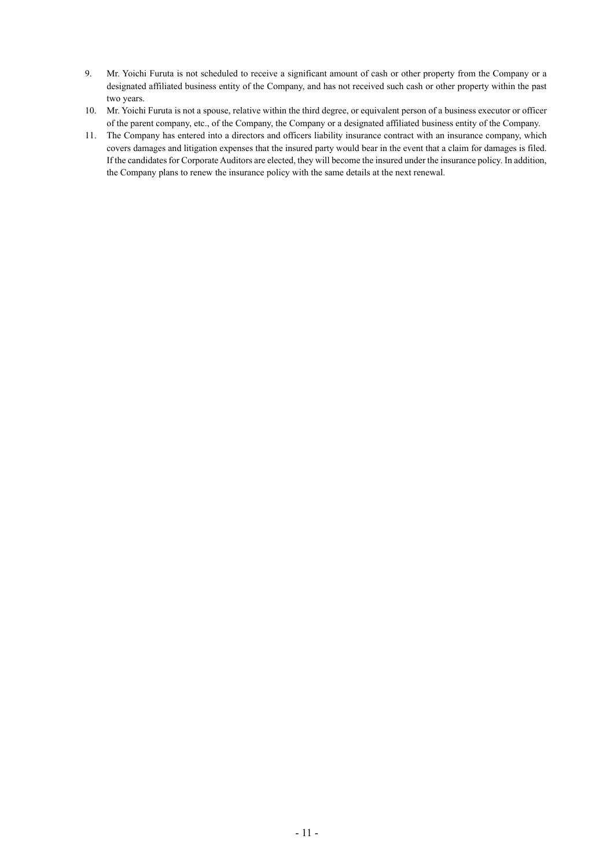- 9. Mr. Yoichi Furuta is not scheduled to receive a significant amount of cash or other property from the Company or a designated affiliated business entity of the Company, and has not received such cash or other property within the past two years.
- 10. Mr. Yoichi Furuta is not a spouse, relative within the third degree, or equivalent person of a business executor or officer of the parent company, etc., of the Company, the Company or a designated affiliated business entity of the Company.
- 11. The Company has entered into a directors and officers liability insurance contract with an insurance company, which covers damages and litigation expenses that the insured party would bear in the event that a claim for damages is filed. If the candidates for Corporate Auditors are elected, they will become the insured under the insurance policy. In addition, the Company plans to renew the insurance policy with the same details at the next renewal.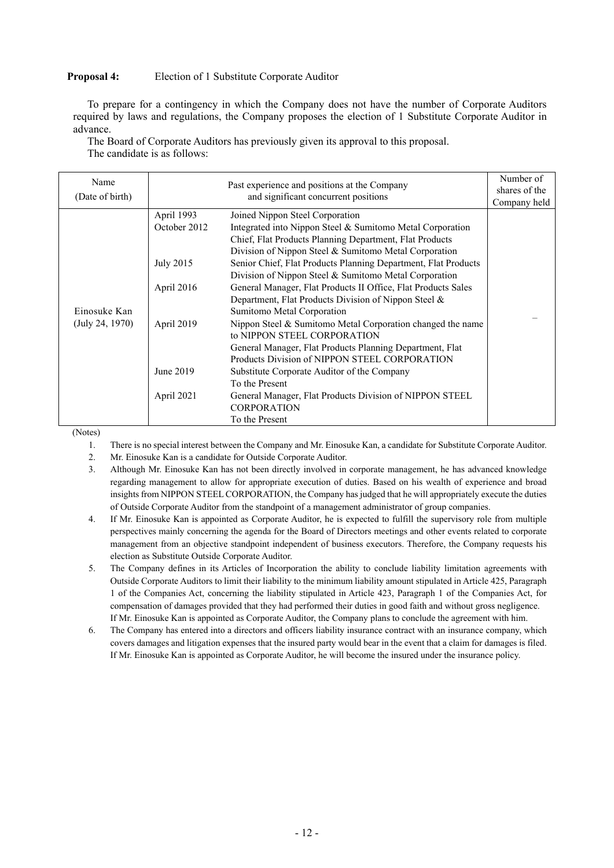### **Proposal 4:** Election of 1 Substitute Corporate Auditor

To prepare for a contingency in which the Company does not have the number of Corporate Auditors required by laws and regulations, the Company proposes the election of 1 Substitute Corporate Auditor in advance.

The Board of Corporate Auditors has previously given its approval to this proposal. The candidate is as follows:

| Name<br>(Date of birth) |              | Past experience and positions at the Company<br>and significant concurrent positions | Number of<br>shares of the<br>Company held |
|-------------------------|--------------|--------------------------------------------------------------------------------------|--------------------------------------------|
|                         | April 1993   | Joined Nippon Steel Corporation                                                      |                                            |
|                         | October 2012 | Integrated into Nippon Steel & Sumitomo Metal Corporation                            |                                            |
|                         |              | Chief, Flat Products Planning Department, Flat Products                              |                                            |
|                         |              | Division of Nippon Steel & Sumitomo Metal Corporation                                |                                            |
|                         | July 2015    | Senior Chief, Flat Products Planning Department, Flat Products                       |                                            |
|                         |              | Division of Nippon Steel & Sumitomo Metal Corporation                                |                                            |
|                         | April 2016   | General Manager, Flat Products II Office, Flat Products Sales                        |                                            |
|                         |              | Department, Flat Products Division of Nippon Steel &                                 |                                            |
| Einosuke Kan            |              | Sumitomo Metal Corporation                                                           |                                            |
| (July 24, 1970)         | April 2019   | Nippon Steel & Sumitomo Metal Corporation changed the name                           |                                            |
|                         |              | to NIPPON STEEL CORPORATION                                                          |                                            |
|                         |              | General Manager, Flat Products Planning Department, Flat                             |                                            |
|                         |              | Products Division of NIPPON STEEL CORPORATION                                        |                                            |
|                         | June 2019    | Substitute Corporate Auditor of the Company                                          |                                            |
|                         |              | To the Present                                                                       |                                            |
|                         | April 2021   | General Manager, Flat Products Division of NIPPON STEEL                              |                                            |
|                         |              | <b>CORPORATION</b>                                                                   |                                            |
|                         |              | To the Present                                                                       |                                            |

(Notes)

1. There is no special interest between the Company and Mr. Einosuke Kan, a candidate for Substitute Corporate Auditor.

2. Mr. Einosuke Kan is a candidate for Outside Corporate Auditor.

3. Although Mr. Einosuke Kan has not been directly involved in corporate management, he has advanced knowledge regarding management to allow for appropriate execution of duties. Based on his wealth of experience and broad insights from NIPPON STEEL CORPORATION, the Company has judged that he will appropriately execute the duties of Outside Corporate Auditor from the standpoint of a management administrator of group companies.

4. If Mr. Einosuke Kan is appointed as Corporate Auditor, he is expected to fulfill the supervisory role from multiple perspectives mainly concerning the agenda for the Board of Directors meetings and other events related to corporate management from an objective standpoint independent of business executors. Therefore, the Company requests his election as Substitute Outside Corporate Auditor.

5. The Company defines in its Articles of Incorporation the ability to conclude liability limitation agreements with Outside Corporate Auditors to limit their liability to the minimum liability amount stipulated in Article 425, Paragraph 1 of the Companies Act, concerning the liability stipulated in Article 423, Paragraph 1 of the Companies Act, for compensation of damages provided that they had performed their duties in good faith and without gross negligence. If Mr. Einosuke Kan is appointed as Corporate Auditor, the Company plans to conclude the agreement with him.

6. The Company has entered into a directors and officers liability insurance contract with an insurance company, which covers damages and litigation expenses that the insured party would bear in the event that a claim for damages is filed. If Mr. Einosuke Kan is appointed as Corporate Auditor, he will become the insured under the insurance policy.